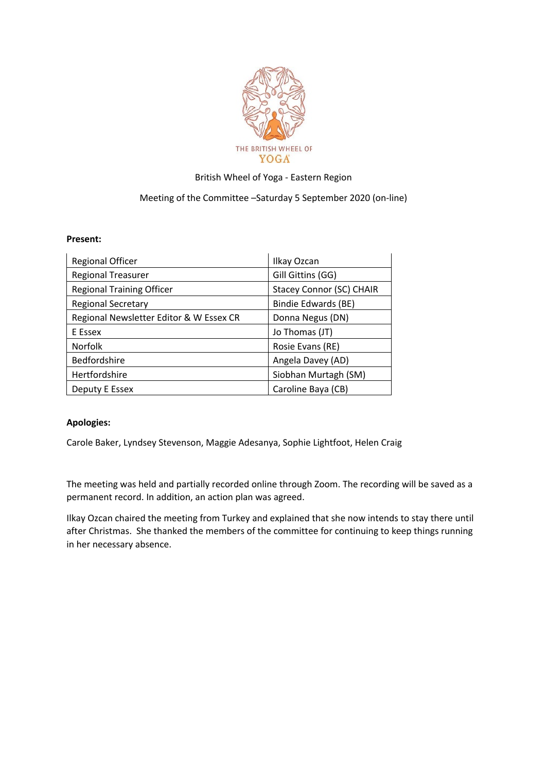

## British Wheel of Yoga - Eastern Region

## Meeting of the Committee –Saturday 5 September 2020 (on-line)

## **Present:**

| <b>Regional Officer</b>                 | Ilkay Ozcan                     |
|-----------------------------------------|---------------------------------|
| <b>Regional Treasurer</b>               | Gill Gittins (GG)               |
| <b>Regional Training Officer</b>        | <b>Stacey Connor (SC) CHAIR</b> |
| <b>Regional Secretary</b>               | Bindie Edwards (BE)             |
| Regional Newsletter Editor & W Essex CR | Donna Negus (DN)                |
| E Essex                                 | Jo Thomas (JT)                  |
| <b>Norfolk</b>                          | Rosie Evans (RE)                |
| <b>Bedfordshire</b>                     | Angela Davey (AD)               |
| Hertfordshire                           | Siobhan Murtagh (SM)            |
| Deputy E Essex                          | Caroline Baya (CB)              |

## **Apologies:**

Carole Baker, Lyndsey Stevenson, Maggie Adesanya, Sophie Lightfoot, Helen Craig

The meeting was held and partially recorded online through Zoom. The recording will be saved as a permanent record. In addition, an action plan was agreed.

Ilkay Ozcan chaired the meeting from Turkey and explained that she now intends to stay there until after Christmas. She thanked the members of the committee for continuing to keep things running in her necessary absence.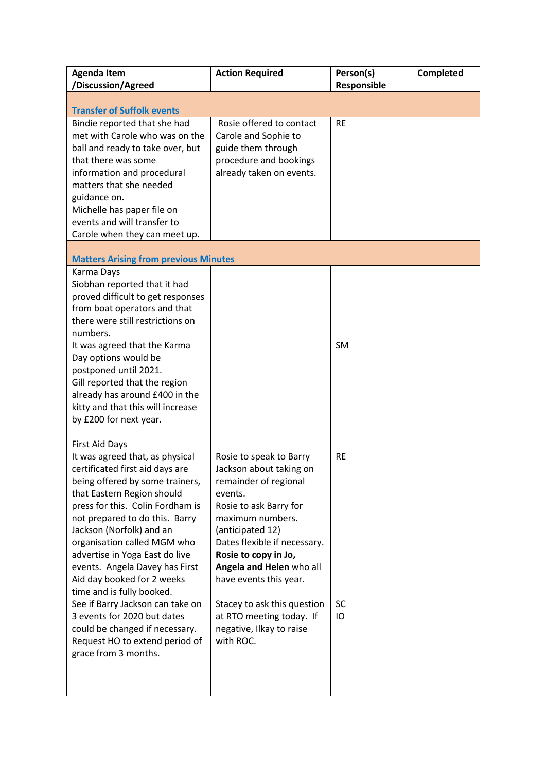| <b>Agenda Item</b><br>/Discussion/Agreed                                                                                                                                                                                                                                                                                                                                                                                                                                                                                                                                                    | <b>Action Required</b>                                                                                                                                                                                                                                                                                                                                                     | Person(s)<br>Responsible     | Completed |  |  |
|---------------------------------------------------------------------------------------------------------------------------------------------------------------------------------------------------------------------------------------------------------------------------------------------------------------------------------------------------------------------------------------------------------------------------------------------------------------------------------------------------------------------------------------------------------------------------------------------|----------------------------------------------------------------------------------------------------------------------------------------------------------------------------------------------------------------------------------------------------------------------------------------------------------------------------------------------------------------------------|------------------------------|-----------|--|--|
| <b>Transfer of Suffolk events</b>                                                                                                                                                                                                                                                                                                                                                                                                                                                                                                                                                           |                                                                                                                                                                                                                                                                                                                                                                            |                              |           |  |  |
| Bindie reported that she had<br>met with Carole who was on the<br>ball and ready to take over, but<br>that there was some<br>information and procedural<br>matters that she needed<br>guidance on.<br>Michelle has paper file on<br>events and will transfer to<br>Carole when they can meet up.                                                                                                                                                                                                                                                                                            | Rosie offered to contact<br>Carole and Sophie to<br>guide them through<br>procedure and bookings<br>already taken on events.                                                                                                                                                                                                                                               | <b>RE</b>                    |           |  |  |
| <b>Matters Arising from previous Minutes</b>                                                                                                                                                                                                                                                                                                                                                                                                                                                                                                                                                |                                                                                                                                                                                                                                                                                                                                                                            |                              |           |  |  |
| Karma Days<br>Siobhan reported that it had<br>proved difficult to get responses<br>from boat operators and that<br>there were still restrictions on<br>numbers.<br>It was agreed that the Karma<br>Day options would be<br>postponed until 2021.<br>Gill reported that the region<br>already has around £400 in the<br>kitty and that this will increase<br>by £200 for next year.                                                                                                                                                                                                          |                                                                                                                                                                                                                                                                                                                                                                            | <b>SM</b>                    |           |  |  |
| <b>First Aid Days</b><br>It was agreed that, as physical<br>certificated first aid days are<br>being offered by some trainers,<br>that Eastern Region should<br>press for this. Colin Fordham is<br>not prepared to do this. Barry<br>Jackson (Norfolk) and an<br>organisation called MGM who<br>advertise in Yoga East do live<br>events. Angela Davey has First<br>Aid day booked for 2 weeks<br>time and is fully booked.<br>See if Barry Jackson can take on<br>3 events for 2020 but dates<br>could be changed if necessary.<br>Request HO to extend period of<br>grace from 3 months. | Rosie to speak to Barry<br>Jackson about taking on<br>remainder of regional<br>events.<br>Rosie to ask Barry for<br>maximum numbers.<br>(anticipated 12)<br>Dates flexible if necessary.<br>Rosie to copy in Jo,<br>Angela and Helen who all<br>have events this year.<br>Stacey to ask this question<br>at RTO meeting today. If<br>negative, Ilkay to raise<br>with ROC. | <b>RE</b><br><b>SC</b><br>IO |           |  |  |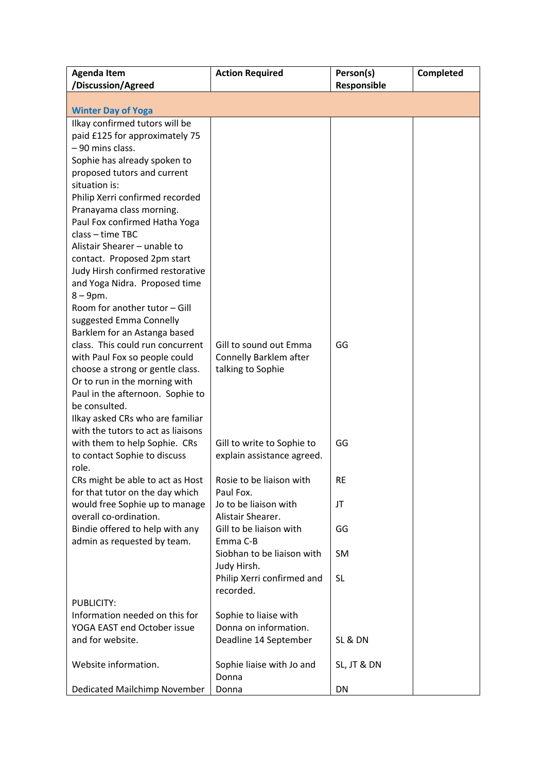| <b>Agenda Item</b>                                        | <b>Action Required</b>                  | Person(s)   | Completed |
|-----------------------------------------------------------|-----------------------------------------|-------------|-----------|
| /Discussion/Agreed                                        |                                         | Responsible |           |
|                                                           |                                         |             |           |
| <b>Winter Day of Yoga</b>                                 |                                         |             |           |
| Ilkay confirmed tutors will be                            |                                         |             |           |
| paid £125 for approximately 75                            |                                         |             |           |
| - 90 mins class.                                          |                                         |             |           |
| Sophie has already spoken to                              |                                         |             |           |
| proposed tutors and current                               |                                         |             |           |
| situation is:                                             |                                         |             |           |
| Philip Xerri confirmed recorded                           |                                         |             |           |
| Pranayama class morning.<br>Paul Fox confirmed Hatha Yoga |                                         |             |           |
| class - time TBC                                          |                                         |             |           |
| Alistair Shearer - unable to                              |                                         |             |           |
| contact. Proposed 2pm start                               |                                         |             |           |
| Judy Hirsh confirmed restorative                          |                                         |             |           |
| and Yoga Nidra. Proposed time                             |                                         |             |           |
| $8-9$ pm.                                                 |                                         |             |           |
| Room for another tutor - Gill                             |                                         |             |           |
| suggested Emma Connelly                                   |                                         |             |           |
| Barklem for an Astanga based                              |                                         |             |           |
| class. This could run concurrent                          | Gill to sound out Emma                  | GG          |           |
| with Paul Fox so people could                             | Connelly Barklem after                  |             |           |
| choose a strong or gentle class.                          | talking to Sophie                       |             |           |
| Or to run in the morning with                             |                                         |             |           |
| Paul in the afternoon. Sophie to<br>be consulted.         |                                         |             |           |
| Ilkay asked CRs who are familiar                          |                                         |             |           |
| with the tutors to act as liaisons                        |                                         |             |           |
| with them to help Sophie. CRs                             | Gill to write to Sophie to              | GG          |           |
| to contact Sophie to discuss                              | explain assistance agreed.              |             |           |
| role.                                                     |                                         |             |           |
| CRs might be able to act as Host                          | Rosie to be liaison with                | <b>RE</b>   |           |
| for that tutor on the day which                           | Paul Fox.                               |             |           |
| would free Sophie up to manage                            | Jo to be liaison with                   | JT          |           |
| overall co-ordination.                                    | Alistair Shearer.                       |             |           |
| Bindie offered to help with any                           | Gill to be liaison with                 | GG          |           |
| admin as requested by team.                               | Emma C-B                                |             |           |
|                                                           | Siobhan to be liaison with              | <b>SM</b>   |           |
|                                                           | Judy Hirsh.                             |             |           |
|                                                           | Philip Xerri confirmed and<br>recorded. | <b>SL</b>   |           |
| <b>PUBLICITY:</b>                                         |                                         |             |           |
| Information needed on this for                            | Sophie to liaise with                   |             |           |
| YOGA EAST end October issue                               | Donna on information.                   |             |           |
| and for website.                                          | Deadline 14 September                   | SL & DN     |           |
|                                                           |                                         |             |           |
| Website information.                                      | Sophie liaise with Jo and               | SL, JT & DN |           |
|                                                           | Donna                                   |             |           |
| Dedicated Mailchimp November                              | Donna                                   | DN          |           |